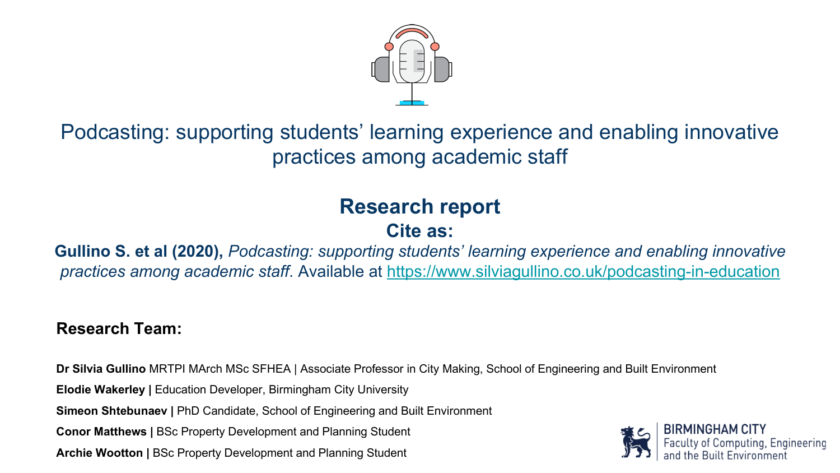

### Podcasting: supporting students' learning experience and enabling innovative practices among academic staff

### **Research report**

### **Cite as:**

#### **Gullino S. et al (2020),** *Podcasting: supporting students' learning experience and enabling innovative practices among academic staff*. Available at <https://www.silviagullino.co.uk/podcasting-in-education>

#### **Research Team:**

**Dr Silvia Gullino** MRTPI MArch MSc SFHEA | Associate Professor in City Making, School of Engineering and Built Environment

**Elodie Wakerley | Education Developer, Birmingham City University** 

**Simeon Shtebunaev |** PhD Candidate, School of Engineering and Built Environment

**Conor Matthews |** BSc Property Development and Planning Student

**Archie Wootton |** BSc Property Development and Planning Student

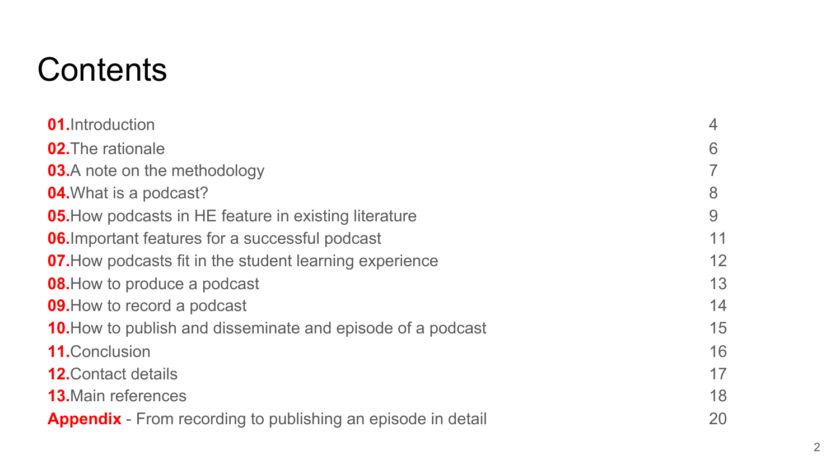### **Contents**

| <b>01.</b> Introduction                                             | $\overline{4}$ |
|---------------------------------------------------------------------|----------------|
| <b>02.</b> The rationale                                            | 6              |
| <b>03.</b> A note on the methodology                                |                |
| <b>04.</b> What is a podcast?                                       | 8              |
| <b>05.</b> How podcasts in HE feature in existing literature        | 9              |
| <b>06.</b> Important features for a successful podcast              | 11             |
| <b>07.</b> How podcasts fit in the student learning experience      | 12             |
| <b>08.</b> How to produce a podcast                                 | 13             |
| <b>09.</b> How to record a podcast                                  | 14             |
| <b>10.</b> How to publish and disseminate and episode of a podcast  | 15             |
| <b>11. Conclusion</b>                                               | 16             |
| <b>12. Contact details</b>                                          | 17             |
| <b>13.</b> Main references                                          | 18             |
| <b>Appendix</b> - From recording to publishing an episode in detail | 20             |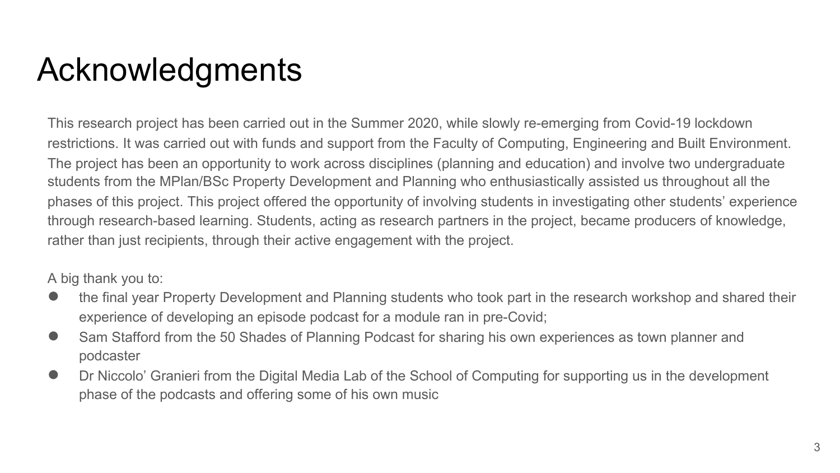### Acknowledgments

This research project has been carried out in the Summer 2020, while slowly re-emerging from Covid-19 lockdown restrictions. It was carried out with funds and support from the Faculty of Computing, Engineering and Built Environment. The project has been an opportunity to work across disciplines (planning and education) and involve two undergraduate students from the MPlan/BSc Property Development and Planning who enthusiastically assisted us throughout all the phases of this project. This project offered the opportunity of involving students in investigating other students' experience through research-based learning. Students, acting as research partners in the project, became producers of knowledge, rather than just recipients, through their active engagement with the project.

A big thank you to:

- the final year Property Development and Planning students who took part in the research workshop and shared their experience of developing an episode podcast for a module ran in pre-Covid;
- Sam Stafford from the 50 Shades of Planning Podcast for sharing his own experiences as town planner and podcaster
- Dr Niccolo' Granieri from the Digital Media Lab of the School of Computing for supporting us in the development phase of the podcasts and offering some of his own music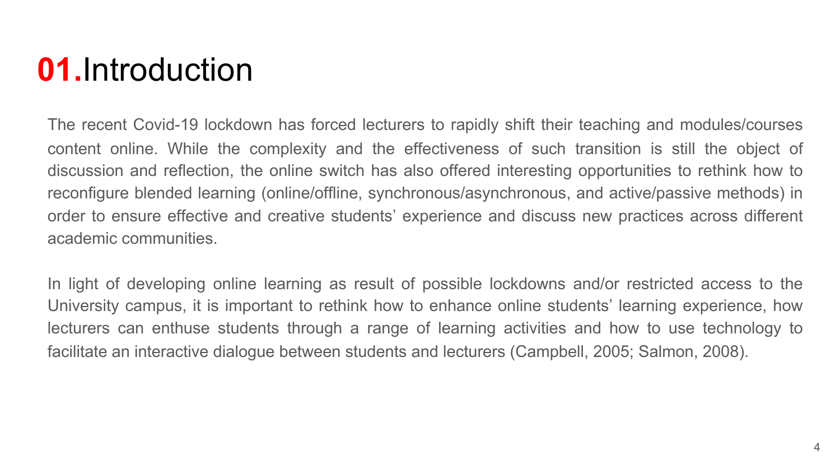### **01.**Introduction

The recent Covid-19 lockdown has forced lecturers to rapidly shift their teaching and modules/courses content online. While the complexity and the effectiveness of such transition is still the object of discussion and reflection, the online switch has also offered interesting opportunities to rethink how to reconfigure blended learning (online/offline, synchronous/asynchronous, and active/passive methods) in order to ensure effective and creative students' experience and discuss new practices across different academic communities.

In light of developing online learning as result of possible lockdowns and/or restricted access to the University campus, it is important to rethink how to enhance online students' learning experience, how lecturers can enthuse students through a range of learning activities and how to use technology to facilitate an interactive dialogue between students and lecturers (Campbell, 2005; Salmon, 2008).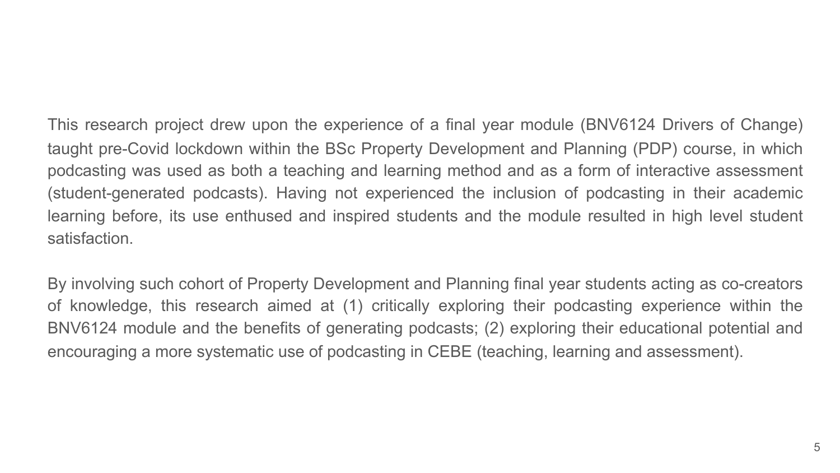This research project drew upon the experience of a final year module (BNV6124 Drivers of Change) taught pre-Covid lockdown within the BSc Property Development and Planning (PDP) course, in which podcasting was used as both a teaching and learning method and as a form of interactive assessment (student-generated podcasts). Having not experienced the inclusion of podcasting in their academic learning before, its use enthused and inspired students and the module resulted in high level student satisfaction.

By involving such cohort of Property Development and Planning final year students acting as co-creators of knowledge, this research aimed at (1) critically exploring their podcasting experience within the BNV6124 module and the benefits of generating podcasts; (2) exploring their educational potential and encouraging a more systematic use of podcasting in CEBE (teaching, learning and assessment).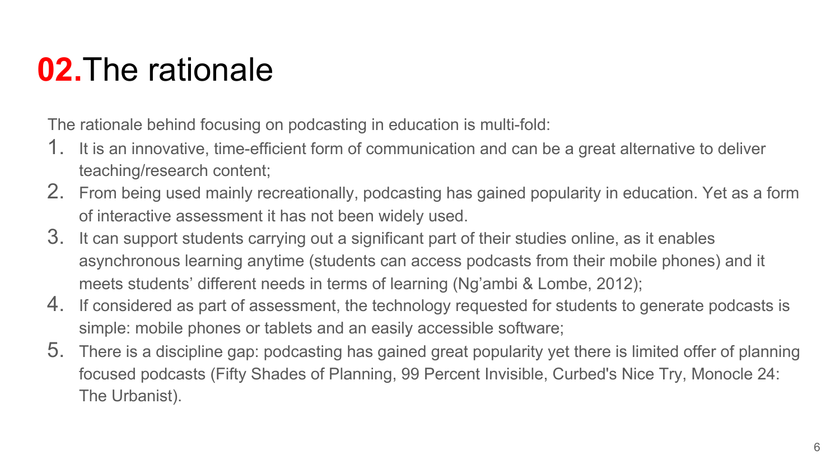### **02.**The rationale

The rationale behind focusing on podcasting in education is multi-fold:

- 1. It is an innovative, time-efficient form of communication and can be a great alternative to deliver teaching/research content;
- 2. From being used mainly recreationally, podcasting has gained popularity in education. Yet as a form of interactive assessment it has not been widely used.
- 3. It can support students carrying out a significant part of their studies online, as it enables asynchronous learning anytime (students can access podcasts from their mobile phones) and it meets students' different needs in terms of learning (Ng'ambi & Lombe, 2012);
- 4. If considered as part of assessment, the technology requested for students to generate podcasts is simple: mobile phones or tablets and an easily accessible software;
- 5. There is a discipline gap: podcasting has gained great popularity yet there is limited offer of planning focused podcasts (Fifty Shades of Planning, 99 Percent Invisible, Curbed's Nice Try, Monocle 24: The Urbanist).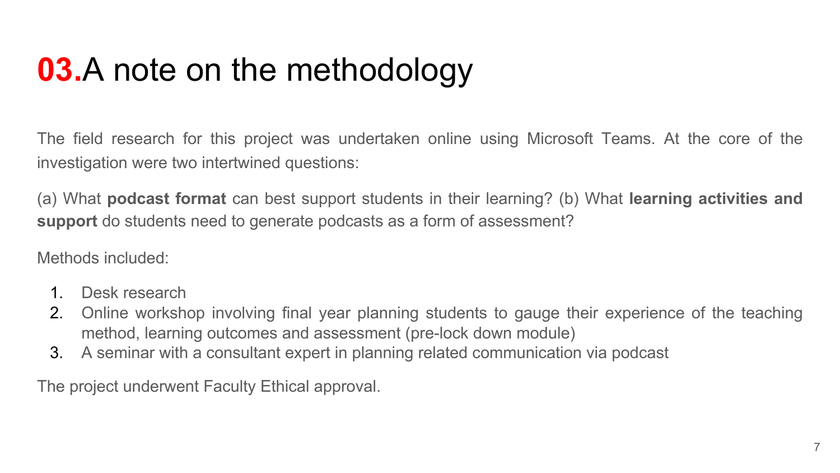## **03.**A note on the methodology

The field research for this project was undertaken online using Microsoft Teams. At the core of the investigation were two intertwined questions:

(a) What **podcast format** can best support students in their learning? (b) What **learning activities and support** do students need to generate podcasts as a form of assessment?

Methods included:

- 1. Desk research
- 2. Online workshop involving final year planning students to gauge their experience of the teaching method, learning outcomes and assessment (pre-lock down module)
- 3. A seminar with a consultant expert in planning related communication via podcast

The project underwent Faculty Ethical approval.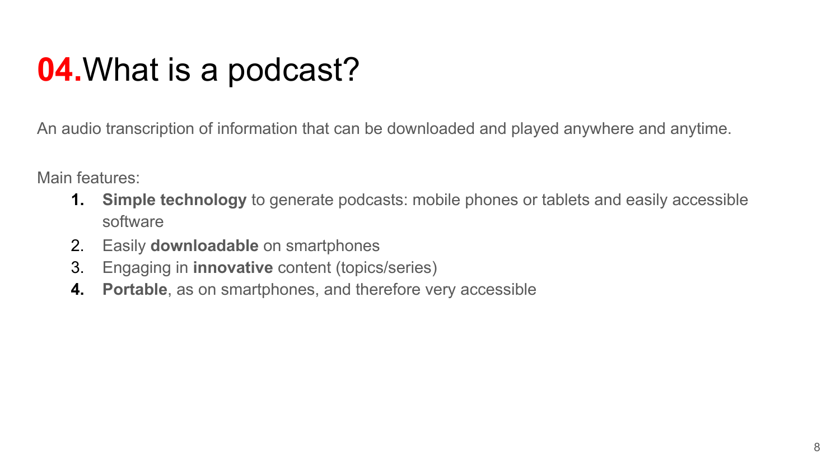### **04.**What is a podcast?

An audio transcription of information that can be downloaded and played anywhere and anytime.

Main features:

- **1. Simple technology** to generate podcasts: mobile phones or tablets and easily accessible software
- 2. Easily **downloadable** on smartphones
- 3. Engaging in **innovative** content (topics/series)
- **4. Portable**, as on smartphones, and therefore very accessible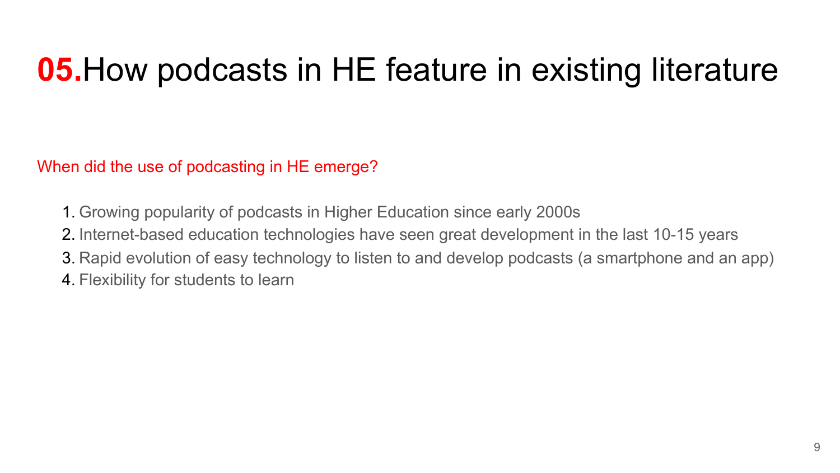### **05.**How podcasts in HE feature in existing literature

When did the use of podcasting in HE emerge?

- 1. Growing popularity of podcasts in Higher Education since early 2000s
- 2. Internet-based education technologies have seen great development in the last 10-15 years
- 3. Rapid evolution of easy technology to listen to and develop podcasts (a smartphone and an app)
- 4. Flexibility for students to learn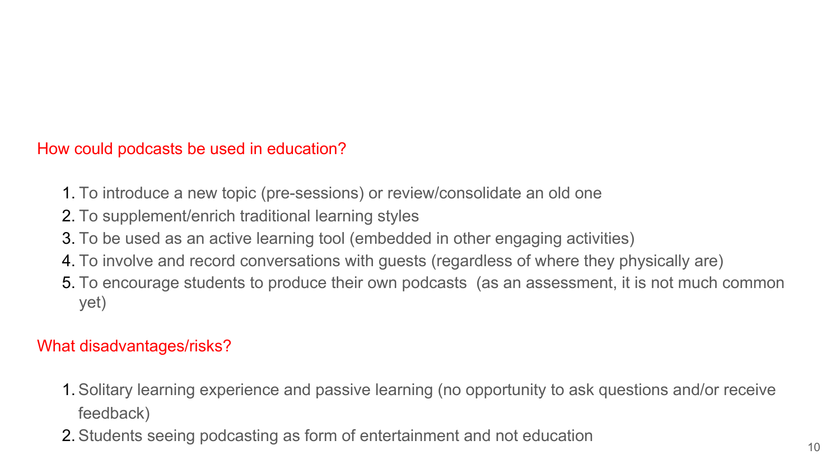#### How could podcasts be used in education?

- 1. To introduce a new topic (pre-sessions) or review/consolidate an old one
- 2. To supplement/enrich traditional learning styles
- 3. To be used as an active learning tool (embedded in other engaging activities)
- 4. To involve and record conversations with guests (regardless of where they physically are)
- 5. To encourage students to produce their own podcasts (as an assessment, it is not much common yet)

#### What disadvantages/risks?

- 1. Solitary learning experience and passive learning (no opportunity to ask questions and/or receive feedback)
- 2. Students seeing podcasting as form of entertainment and not education 10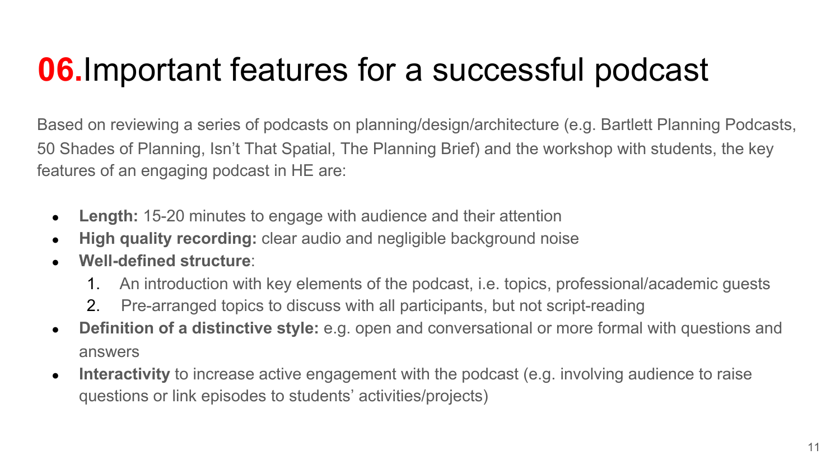## **06.**Important features for a successful podcast

Based on reviewing a series of podcasts on planning/design/architecture (e.g. Bartlett Planning Podcasts, 50 Shades of Planning, Isn't That Spatial, The Planning Brief) and the workshop with students, the key features of an engaging podcast in HE are:

- Length: 15-20 minutes to engage with audience and their attention
- **High quality recording:** clear audio and negligible background noise
- **Well-defined structure**:
	- 1. An introduction with key elements of the podcast, i.e. topics, professional/academic guests
	- 2. Pre-arranged topics to discuss with all participants, but not script-reading
- **Definition of a distinctive style:** e.g. open and conversational or more formal with questions and answers
- **Interactivity** to increase active engagement with the podcast (e.g. involving audience to raise questions or link episodes to students' activities/projects)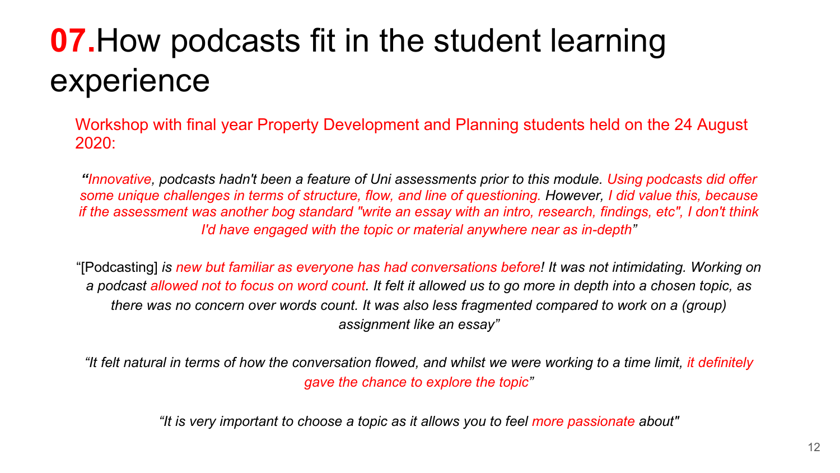# **07.**How podcasts fit in the student learning experience

Workshop with final year Property Development and Planning students held on the 24 August 2020:

*"Innovative, podcasts hadn't been a feature of Uni assessments prior to this module. Using podcasts did offer some unique challenges in terms of structure, flow, and line of questioning. However, I did value this, because if the assessment was another bog standard "write an essay with an intro, research, findings, etc", I don't think I'd have engaged with the topic or material anywhere near as in-depth"*

"[Podcasting] *is new but familiar as everyone has had conversations before! It was not intimidating. Working on a podcast allowed not to focus on word count. It felt it allowed us to go more in depth into a chosen topic, as there was no concern over words count. It was also less fragmented compared to work on a (group) assignment like an essay"*

*"It felt natural in terms of how the conversation flowed, and whilst we were working to a time limit, it definitely gave the chance to explore the topic"*

*"It is very important to choose a topic as it allows you to feel more passionate about"*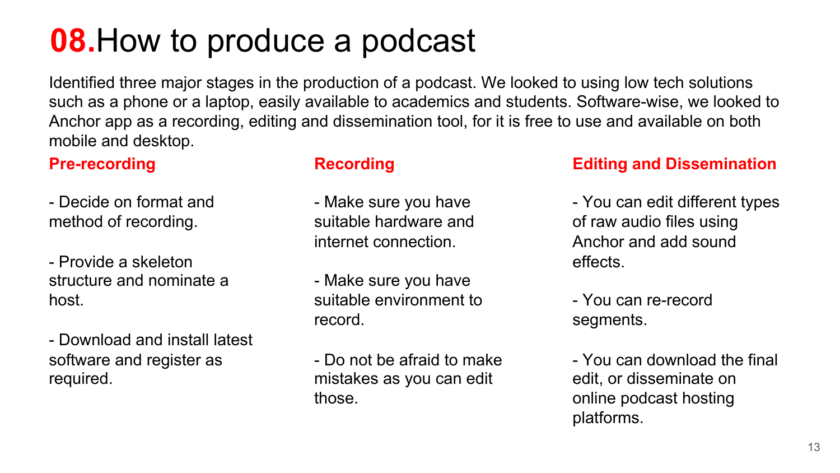### **08.**How to produce a podcast

Identified three major stages in the production of a podcast. We looked to using low tech solutions such as a phone or a laptop, easily available to academics and students. Software-wise, we looked to Anchor app as a recording, editing and dissemination tool, for it is free to use and available on both mobile and desktop.

#### **Pre-recording**

- Decide on format and method of recording.

- Provide a skeleton structure and nominate a host.

- Download and install latest software and register as required.

#### **Recording**

- Make sure you have suitable hardware and internet connection.
- Make sure you have suitable environment to record.
- Do not be afraid to make mistakes as you can edit those.

#### **Editing and Dissemination**

- You can edit different types of raw audio files using Anchor and add sound effects.
- You can re-record segments.
- You can download the final edit, or disseminate on online podcast hosting platforms.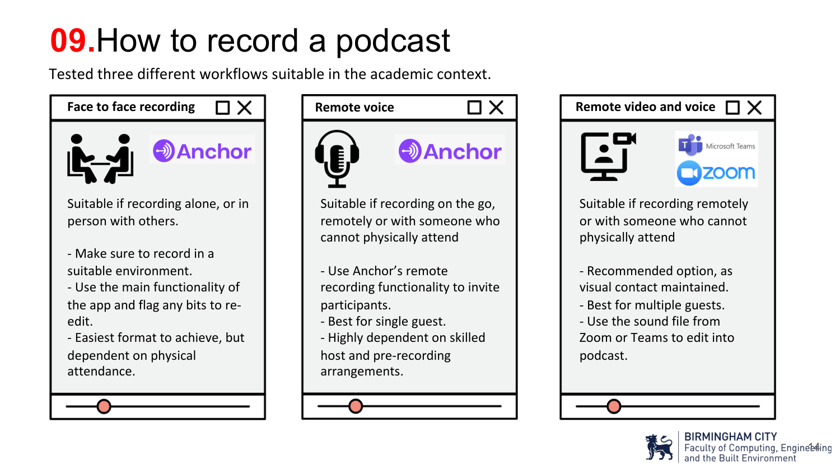# **09.**How to record a podcast

Tested three different workflows suitable in the academic context.



Suitable if recording alone, or in person with others.

- Make sure to record in a suitable environment.
- Use the main functionality of the app and flag any bits to reedit.
- Easiest format to achieve, but dependent on physical attendance.





- Use Anchor's remote recording functionality to invite participants.
- Best for single guest.
- Highly dependent on skilled host and pre-recording arrangements.





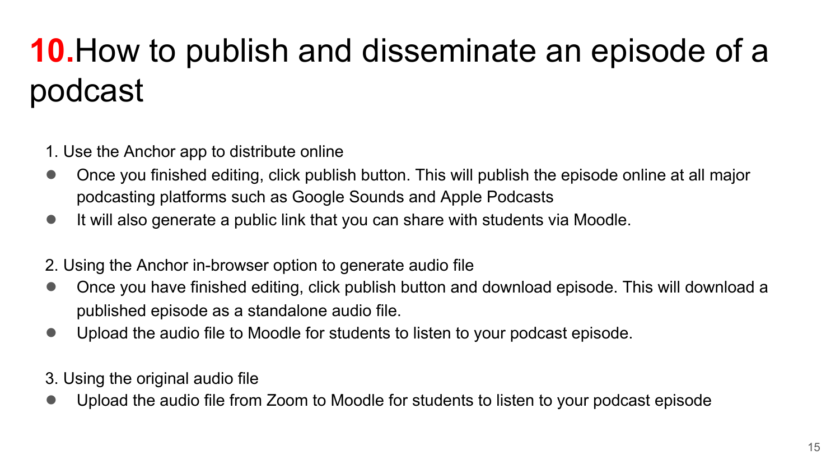# **10.**How to publish and disseminate an episode of a podcast

- 1. Use the Anchor app to distribute online
- Once you finished editing, click publish button. This will publish the episode online at all major podcasting platforms such as Google Sounds and Apple Podcasts
- It will also generate a public link that you can share with students via Moodle.
- 2. Using the Anchor in-browser option to generate audio file
- Once you have finished editing, click publish button and download episode. This will download a published episode as a standalone audio file.
- Upload the audio file to Moodle for students to listen to your podcast episode.
- 3. Using the original audio file
- Upload the audio file from Zoom to Moodle for students to listen to your podcast episode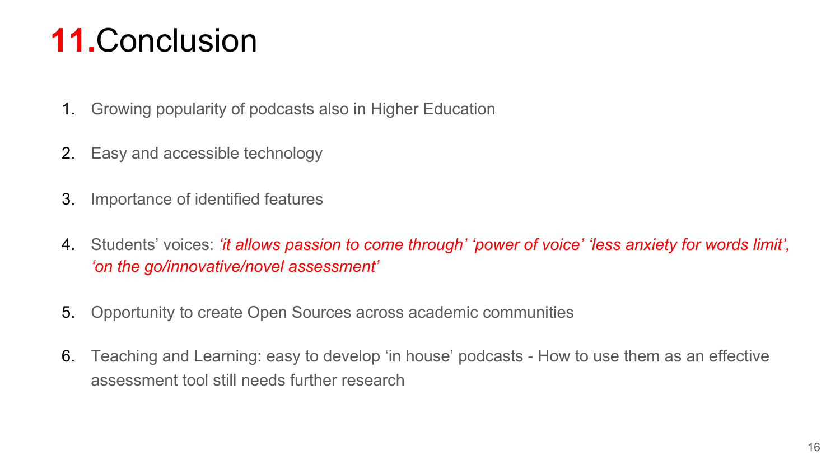## **11.**Conclusion

- 1. Growing popularity of podcasts also in Higher Education
- 2. Easy and accessible technology
- 3. Importance of identified features
- 4. Students' voices: *'it allows passion to come through' 'power of voice' 'less anxiety for words limit', 'on the go/innovative/novel assessment'*
- 5. Opportunity to create Open Sources across academic communities
- 6. Teaching and Learning: easy to develop 'in house' podcasts How to use them as an effective assessment tool still needs further research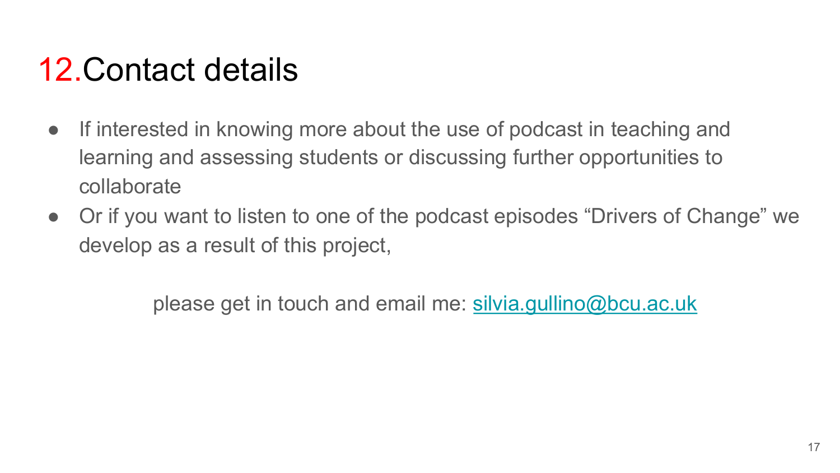### 12.Contact details

- If interested in knowing more about the use of podcast in teaching and learning and assessing students or discussing further opportunities to collaborate
- Or if you want to listen to one of the podcast episodes "Drivers of Change" we develop as a result of this project,

please get in touch and email me: [silvia.gullino@bcu.ac.uk](mailto:silvia.gullino@bcu.ac.uk)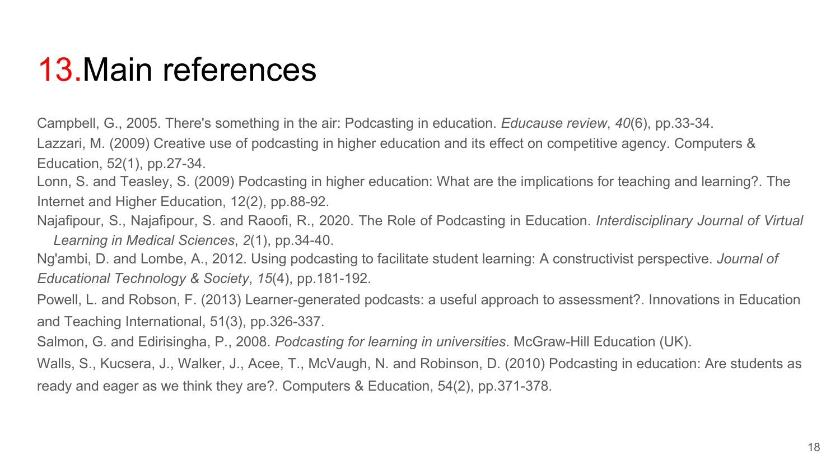### 13.Main references

Campbell, G., 2005. There's something in the air: Podcasting in education. *Educause review*, *40*(6), pp.33-34. Lazzari, M. (2009) Creative use of podcasting in higher education and its effect on competitive agency. Computers & Education, 52(1), pp.27-34.

Lonn, S. and Teasley, S. (2009) Podcasting in higher education: What are the implications for teaching and learning?. The Internet and Higher Education, 12(2), pp.88-92.

Najafipour, S., Najafipour, S. and Raoofi, R., 2020. The Role of Podcasting in Education. *Interdisciplinary Journal of Virtual Learning in Medical Sciences*, *2*(1), pp.34-40.

Ng'ambi, D. and Lombe, A., 2012. Using podcasting to facilitate student learning: A constructivist perspective. *Journal of Educational Technology & Society*, *15*(4), pp.181-192.

Powell, L. and Robson, F. (2013) Learner-generated podcasts: a useful approach to assessment?. Innovations in Education and Teaching International, 51(3), pp.326-337.

Salmon, G. and Edirisingha, P., 2008. *Podcasting for learning in universities*. McGraw-Hill Education (UK).

Walls, S., Kucsera, J., Walker, J., Acee, T., McVaugh, N. and Robinson, D. (2010) Podcasting in education: Are students as ready and eager as we think they are?. Computers & Education, 54(2), pp.371-378.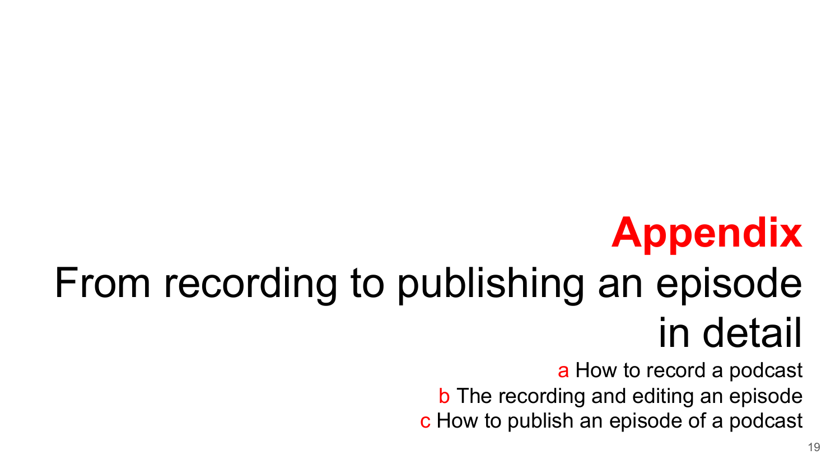# **Appendix**

# From recording to publishing an episode in detail

a How to record a podcast

b The recording and editing an episode c How to publish an episode of a podcast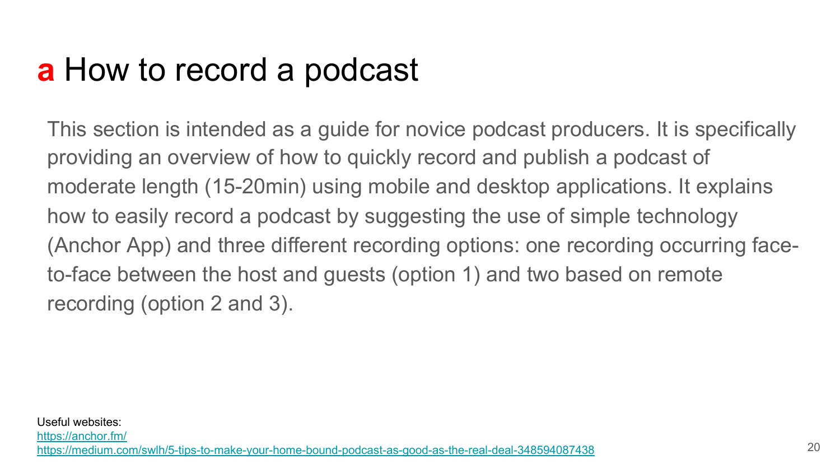### **a** How to record a podcast

This section is intended as a guide for novice podcast producers. It is specifically providing an overview of how to quickly record and publish a podcast of moderate length (15-20min) using mobile and desktop applications. It explains how to easily record a podcast by suggesting the use of simple technology (Anchor App) and three different recording options: one recording occurring faceto-face between the host and guests (option 1) and two based on remote recording (option 2 and 3).

<https://anchor.fm/>

<https://medium.com/swlh/5-tips-to-make-your-home-bound-podcast-as-good-as-the-real-deal-348594087438>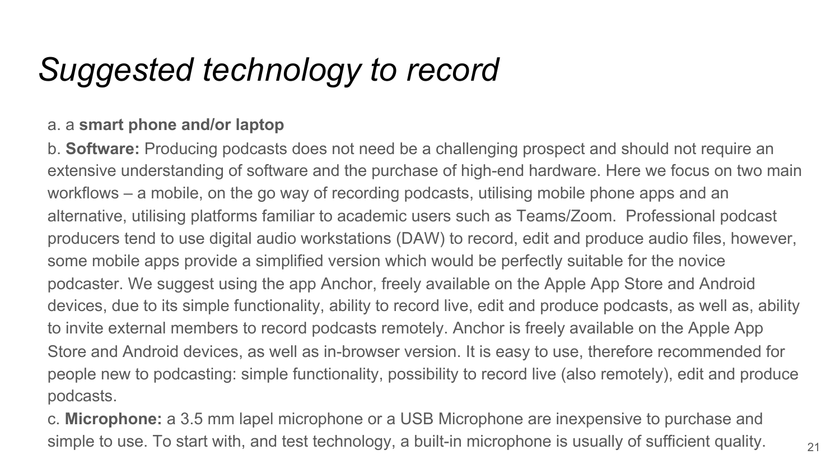### *Suggested technology to record*

#### a. a **smart phone and/or laptop**

b. **Software:** Producing podcasts does not need be a challenging prospect and should not require an extensive understanding of software and the purchase of high-end hardware. Here we focus on two main workflows – a mobile, on the go way of recording podcasts, utilising mobile phone apps and an alternative, utilising platforms familiar to academic users such as Teams/Zoom. Professional podcast producers tend to use digital audio workstations (DAW) to record, edit and produce audio files, however, some mobile apps provide a simplified version which would be perfectly suitable for the novice podcaster. We suggest using the app Anchor, freely available on the Apple App Store and Android devices, due to its simple functionality, ability to record live, edit and produce podcasts, as well as, ability to invite external members to record podcasts remotely. Anchor is freely available on the Apple App Store and Android devices, as well as in-browser version. It is easy to use, therefore recommended for people new to podcasting: simple functionality, possibility to record live (also remotely), edit and produce podcasts.

c. **Microphone:** a 3.5 mm lapel microphone or a USB Microphone are inexpensive to purchase and simple to use. To start with, and test technology, a built-in microphone is usually of sufficient quality.  $\frac{21}{10}$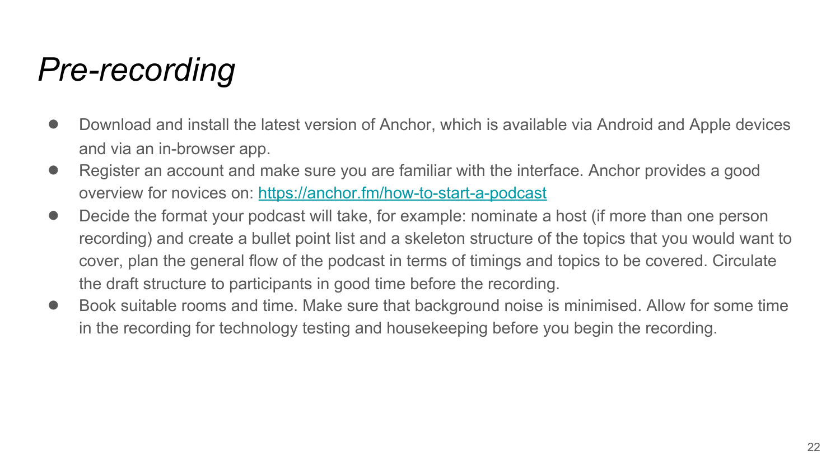### *Pre-recording*

- Download and install the latest version of Anchor, which is available via Android and Apple devices and via an in-browser app.
- Register an account and make sure you are familiar with the interface. Anchor provides a good overview for novices on: <https://anchor.fm/how-to-start-a-podcast>
- Decide the format your podcast will take, for example: nominate a host (if more than one person recording) and create a bullet point list and a skeleton structure of the topics that you would want to cover, plan the general flow of the podcast in terms of timings and topics to be covered. Circulate the draft structure to participants in good time before the recording.
- Book suitable rooms and time. Make sure that background noise is minimised. Allow for some time in the recording for technology testing and housekeeping before you begin the recording.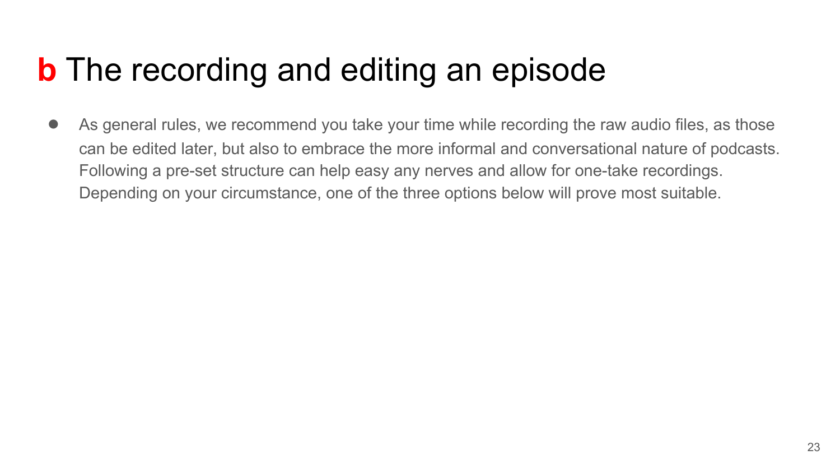### **b** The recording and editing an episode

● As general rules, we recommend you take your time while recording the raw audio files, as those can be edited later, but also to embrace the more informal and conversational nature of podcasts. Following a pre-set structure can help easy any nerves and allow for one-take recordings. Depending on your circumstance, one of the three options below will prove most suitable.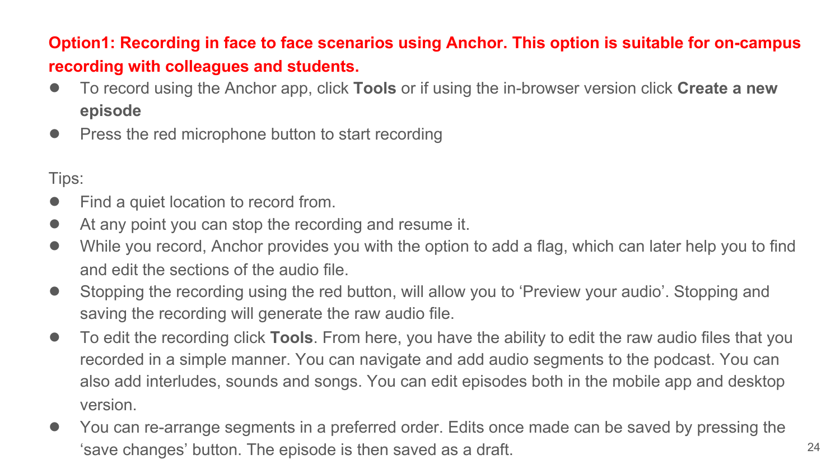### **Option1: Recording in face to face scenarios using Anchor. This option is suitable for on-campus recording with colleagues and students.**

- To record using the Anchor app, click **Tools** or if using the in-browser version click **Create a new episode**
- Press the red microphone button to start recording

Tips:

- Find a quiet location to record from.
- At any point you can stop the recording and resume it.
- While you record, Anchor provides you with the option to add a flag, which can later help you to find and edit the sections of the audio file.
- Stopping the recording using the red button, will allow you to 'Preview your audio'. Stopping and saving the recording will generate the raw audio file.
- To edit the recording click **Tools**. From here, you have the ability to edit the raw audio files that you recorded in a simple manner. You can navigate and add audio segments to the podcast. You can also add interludes, sounds and songs. You can edit episodes both in the mobile app and desktop version.
- You can re-arrange segments in a preferred order. Edits once made can be saved by pressing the 'save changes' button. The episode is then saved as a draft. 24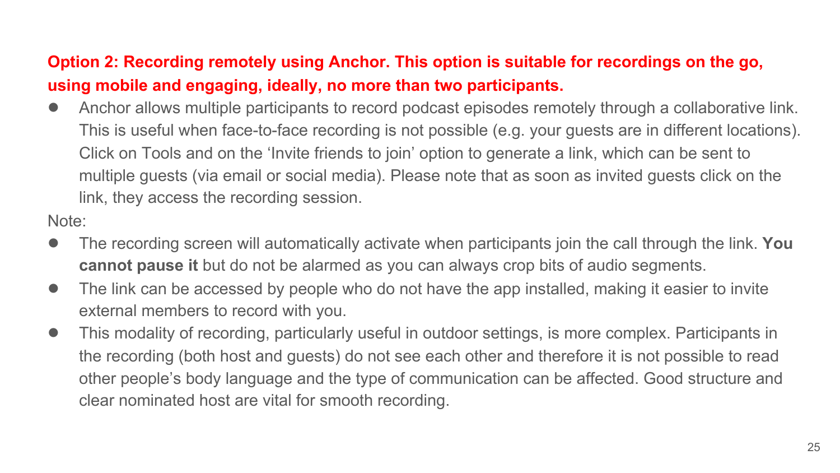### **Option 2: Recording remotely using Anchor. This option is suitable for recordings on the go, using mobile and engaging, ideally, no more than two participants.**

● Anchor allows multiple participants to record podcast episodes remotely through a collaborative link. This is useful when face-to-face recording is not possible (e.g. your guests are in different locations). Click on Tools and on the 'Invite friends to join' option to generate a link, which can be sent to multiple guests (via email or social media). Please note that as soon as invited guests click on the link, they access the recording session.

Note:

- The recording screen will automatically activate when participants join the call through the link. **You cannot pause it** but do not be alarmed as you can always crop bits of audio segments.
- The link can be accessed by people who do not have the app installed, making it easier to invite external members to record with you.
- This modality of recording, particularly useful in outdoor settings, is more complex. Participants in the recording (both host and guests) do not see each other and therefore it is not possible to read other people's body language and the type of communication can be affected. Good structure and clear nominated host are vital for smooth recording.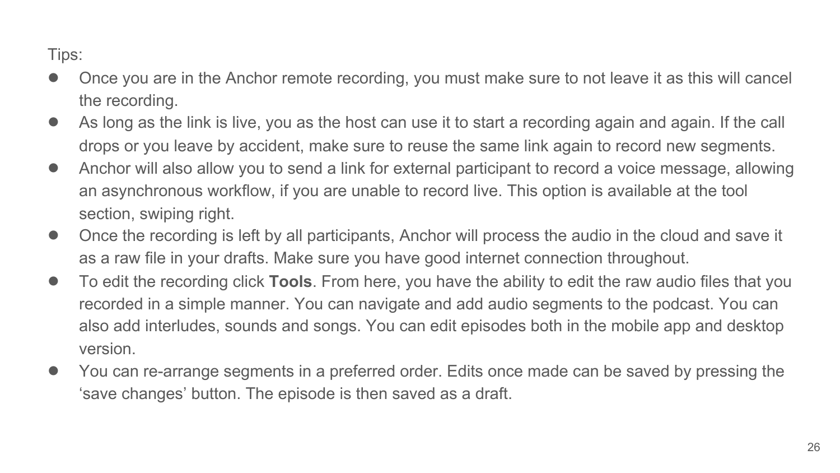Tips:

- Once you are in the Anchor remote recording, you must make sure to not leave it as this will cancel the recording.
- As long as the link is live, you as the host can use it to start a recording again and again. If the call drops or you leave by accident, make sure to reuse the same link again to record new segments.
- Anchor will also allow you to send a link for external participant to record a voice message, allowing an asynchronous workflow, if you are unable to record live. This option is available at the tool section, swiping right.
- Once the recording is left by all participants, Anchor will process the audio in the cloud and save it as a raw file in your drafts. Make sure you have good internet connection throughout.
- To edit the recording click **Tools**. From here, you have the ability to edit the raw audio files that you recorded in a simple manner. You can navigate and add audio segments to the podcast. You can also add interludes, sounds and songs. You can edit episodes both in the mobile app and desktop version.
- You can re-arrange segments in a preferred order. Edits once made can be saved by pressing the 'save changes' button. The episode is then saved as a draft.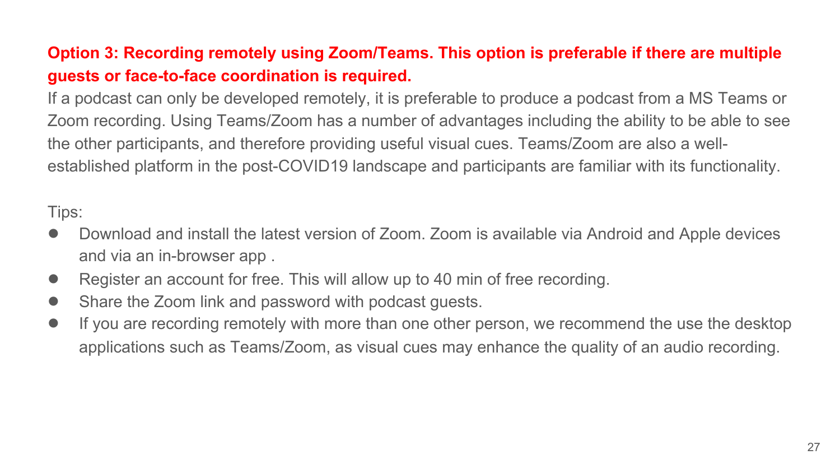### **Option 3: Recording remotely using Zoom/Teams. This option is preferable if there are multiple guests or face-to-face coordination is required.**

If a podcast can only be developed remotely, it is preferable to produce a podcast from a MS Teams or Zoom recording. Using Teams/Zoom has a number of advantages including the ability to be able to see the other participants, and therefore providing useful visual cues. Teams/Zoom are also a wellestablished platform in the post-COVID19 landscape and participants are familiar with its functionality.

Tips:

- Download and install the latest version of Zoom. Zoom is available via Android and Apple devices and via an in-browser app .
- Register an account for free. This will allow up to 40 min of free recording.
- Share the Zoom link and password with podcast quests.
- If you are recording remotely with more than one other person, we recommend the use the desktop applications such as Teams/Zoom, as visual cues may enhance the quality of an audio recording.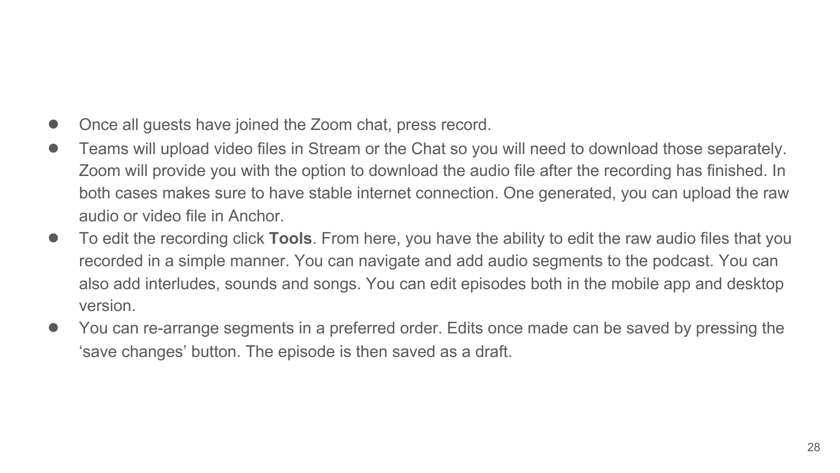- Once all guests have joined the Zoom chat, press record.
- Teams will upload video files in Stream or the Chat so you will need to download those separately. Zoom will provide you with the option to download the audio file after the recording has finished. In both cases makes sure to have stable internet connection. One generated, you can upload the raw audio or video file in Anchor.
- To edit the recording click **Tools**. From here, you have the ability to edit the raw audio files that you recorded in a simple manner. You can navigate and add audio segments to the podcast. You can also add interludes, sounds and songs. You can edit episodes both in the mobile app and desktop version.
- You can re-arrange segments in a preferred order. Edits once made can be saved by pressing the 'save changes' button. The episode is then saved as a draft.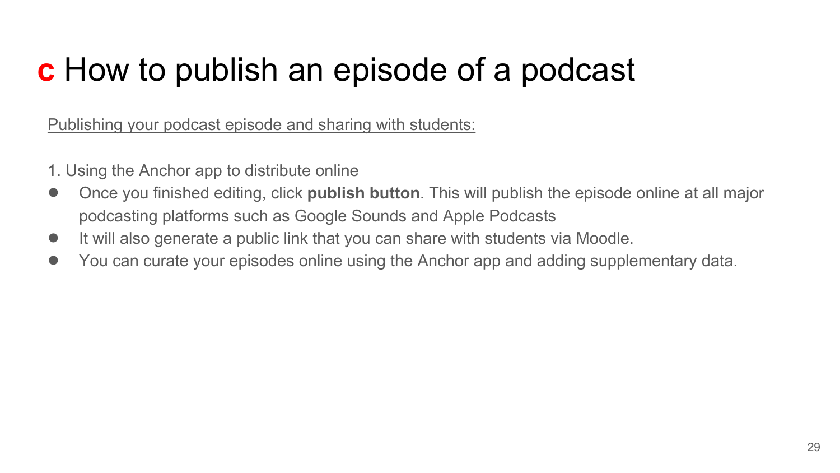## **c** How to publish an episode of a podcast

Publishing your podcast episode and sharing with students:

- 1. Using the Anchor app to distribute online
- Once you finished editing, click **publish button**. This will publish the episode online at all major podcasting platforms such as Google Sounds and Apple Podcasts
- It will also generate a public link that you can share with students via Moodle.
- You can curate your episodes online using the Anchor app and adding supplementary data.